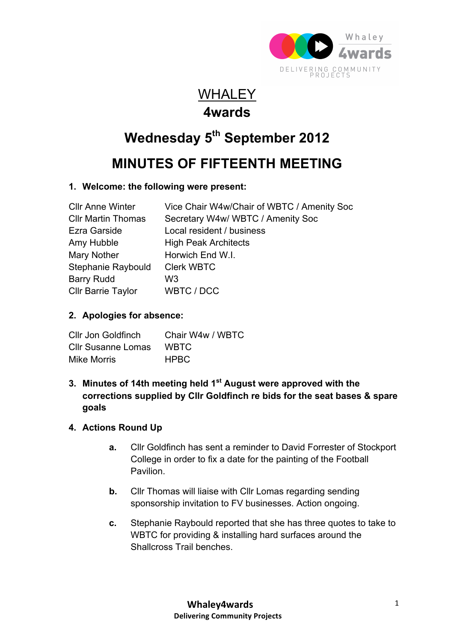

### **WHALEY 4wards**

# **Wednesday 5th September 2012**

## **MINUTES OF FIFTEENTH MEETING**

#### **1. Welcome: the following were present:**

| <b>CIIr Anne Winter</b>   | Vice Chair W4w/Chair of WBTC / Amenity Soc |
|---------------------------|--------------------------------------------|
| <b>CIIr Martin Thomas</b> | Secretary W4w/ WBTC / Amenity Soc          |
| <b>Ezra Garside</b>       | Local resident / business                  |
| Amy Hubble                | <b>High Peak Architects</b>                |
| Mary Nother               | Horwich End W.I.                           |
| Stephanie Raybould        | <b>Clerk WBTC</b>                          |
| <b>Barry Rudd</b>         | W3                                         |
| <b>Cllr Barrie Taylor</b> | WBTC / DCC                                 |

#### **2. Apologies for absence:**

| Cllr Jon Goldfinch        | Chair W4w / WBTC |
|---------------------------|------------------|
| <b>Cllr Susanne Lomas</b> | <b>WBTC</b>      |
| Mike Morris               | <b>HPBC</b>      |

#### **3. Minutes of 14th meeting held 1st August were approved with the corrections supplied by Cllr Goldfinch re bids for the seat bases & spare goals**

#### **4. Actions Round Up**

- **a.** Cllr Goldfinch has sent a reminder to David Forrester of Stockport College in order to fix a date for the painting of the Football Pavilion.
- **b.** Cllr Thomas will liaise with Cllr Lomas regarding sending sponsorship invitation to FV businesses. Action ongoing.
- **c.** Stephanie Raybould reported that she has three quotes to take to WBTC for providing & installing hard surfaces around the Shallcross Trail benches.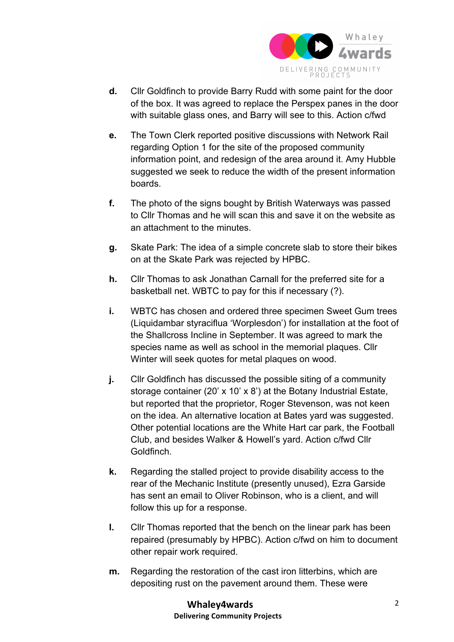

- **d.** Cllr Goldfinch to provide Barry Rudd with some paint for the door of the box. It was agreed to replace the Perspex panes in the door with suitable glass ones, and Barry will see to this. Action c/fwd
- **e.** The Town Clerk reported positive discussions with Network Rail regarding Option 1 for the site of the proposed community information point, and redesign of the area around it. Amy Hubble suggested we seek to reduce the width of the present information boards.
- **f.** The photo of the signs bought by British Waterways was passed to Cllr Thomas and he will scan this and save it on the website as an attachment to the minutes.
- **g.** Skate Park: The idea of a simple concrete slab to store their bikes on at the Skate Park was rejected by HPBC.
- **h.** Cllr Thomas to ask Jonathan Carnall for the preferred site for a basketball net. WBTC to pay for this if necessary (?).
- **i.** WBTC has chosen and ordered three specimen Sweet Gum trees (Liquidambar styraciflua 'Worplesdon') for installation at the foot of the Shallcross Incline in September. It was agreed to mark the species name as well as school in the memorial plaques. Cllr Winter will seek quotes for metal plaques on wood.
- **j.** Cllr Goldfinch has discussed the possible siting of a community storage container (20' x 10' x 8') at the Botany Industrial Estate, but reported that the proprietor, Roger Stevenson, was not keen on the idea. An alternative location at Bates yard was suggested. Other potential locations are the White Hart car park, the Football Club, and besides Walker & Howell's yard. Action c/fwd Cllr Goldfinch.
- **k.** Regarding the stalled project to provide disability access to the rear of the Mechanic Institute (presently unused), Ezra Garside has sent an email to Oliver Robinson, who is a client, and will follow this up for a response.
- **l.** Cllr Thomas reported that the bench on the linear park has been repaired (presumably by HPBC). Action c/fwd on him to document other repair work required.
- **m.** Regarding the restoration of the cast iron litterbins, which are depositing rust on the pavement around them. These were